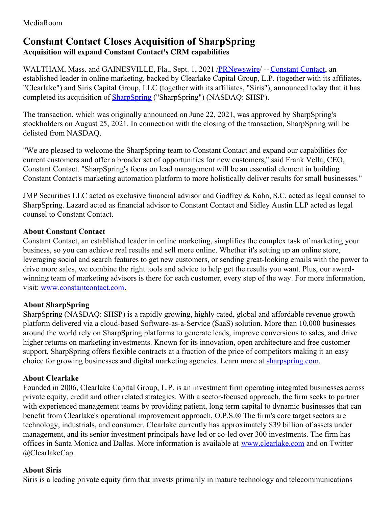# **Constant Contact Closes Acquisition of SharpSpring Acquisition will expand Constant Contact's CRM capabilities**

WALTHAM, Mass. and GAINESVILLE, Fla., Sept. 1, 2021 [/PRNewswire](http://www.prnewswire.com/)/ -- [Constant](https://c212.net/c/link/?t=0&l=en&o=3277712-1&h=603176327&u=http%3A%2F%2Fwww.constantcontact.com%2F&a=Constant+Contact) Contact, an established leader in online marketing, backed by Clearlake Capital Group, L.P. (together with its affiliates, "Clearlake") and Siris Capital Group, LLC (together with its affiliates, "Siris"), announced today that it has completed its acquisition of [SharpSpring](https://c212.net/c/link/?t=0&l=en&o=3277712-1&h=1122815513&u=https%3A%2F%2Fsharpspring.com%2F&a=SharpSpring) ("SharpSpring") (NASDAQ: SHSP).

The transaction, which was originally announced on June 22, 2021, was approved by SharpSpring's stockholders on August 25, 2021. In connection with the closing of the transaction, SharpSpring will be delisted from NASDAQ.

"We are pleased to welcome the SharpSpring team to Constant Contact and expand our capabilities for current customers and offer a broader set of opportunities for new customers," said Frank Vella, CEO, Constant Contact. "SharpSpring's focus on lead management will be an essential element in building Constant Contact's marketing automation platform to more holistically deliver results for small businesses."

JMP Securities LLC acted as exclusive financial advisor and Godfrey & Kahn, S.C. acted as legal counsel to SharpSpring. Lazard acted as financial advisor to Constant Contact and Sidley Austin LLP acted as legal counsel to Constant Contact.

### **About Constant Contact**

Constant Contact, an established leader in online marketing, simplifies the complex task of marketing your business, so you can achieve real results and sell more online. Whether it's setting up an online store, leveraging social and search features to get new customers, or sending great-looking emails with the power to drive more sales, we combine the right tools and advice to help get the results you want. Plus, our awardwinning team of marketing advisors is there for each customer, every step of the way. For more information, visit: [www.constantcontact.com](https://c212.net/c/link/?t=0&l=en&o=3277712-1&h=1238890567&u=http%3A%2F%2Fwww.constantcontact.com%2F&a=www.constantcontact.com).

## **About SharpSpring**

SharpSpring (NASDAQ: SHSP) is a rapidly growing, highly-rated, global and affordable revenue growth platform delivered via a cloud-based Software-as-a-Service (SaaS) solution. More than 10,000 businesses around the world rely on SharpSpring platforms to generate leads, improve conversions to sales, and drive higher returns on marketing investments. Known for its innovation, open architecture and free customer support, SharpSpring offers flexible contracts at a fraction of the price of competitors making it an easy choice for growing businesses and digital marketing agencies. Learn more at [sharpspring.com](https://c212.net/c/link/?t=0&l=en&o=3277712-1&h=2309262421&u=https%3A%2F%2Fsharpspring.com%2F&a=sharpspring.com).

### **About Clearlake**

Founded in 2006, Clearlake Capital Group, L.P. is an investment firm operating integrated businesses across private equity, credit and other related strategies. With a sector-focused approach, the firm seeks to partner with experienced management teams by providing patient, long term capital to dynamic businesses that can benefit from Clearlake's operational improvement approach, O.P.S.® The firm's core target sectors are technology, industrials, and consumer. Clearlake currently has approximately \$39 billion of assets under management, and its senior investment principals have led or co-led over 300 investments. The firm has offices in Santa Monica and Dallas. More information is available at [www.clearlake.com](https://c212.net/c/link/?t=0&l=en&o=3277712-1&h=832501841&u=http%3A%2F%2Fwww.clearlake.com%2F&a=www.clearlake.com) and on Twitter @ClearlakeCap.

### **About Siris**

Siris is a leading private equity firm that invests primarily in mature technology and telecommunications